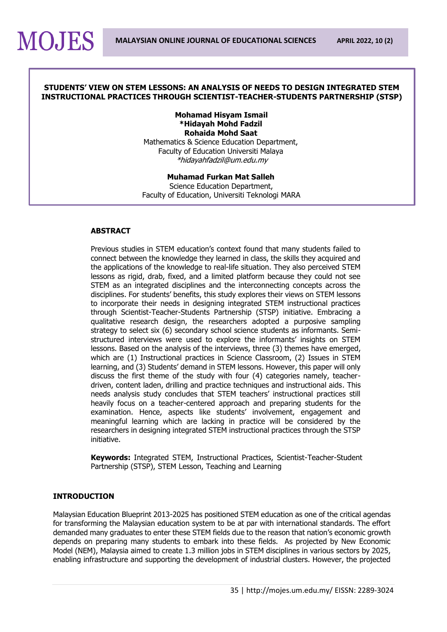#### **STUDENTS' VIEW ON STEM LESSONS: AN ANALYSIS OF NEEDS TO DESIGN INTEGRATED STEM INSTRUCTIONAL PRACTICES THROUGH SCIENTIST-TEACHER-STUDENTS PARTNERSHIP (STSP)**

## **Mohamad Hisyam Ismail \*Hidayah Mohd Fadzil Rohaida Mohd Saat**

Mathematics & Science Education Department, Faculty of Education Universiti Malaya [\\*hidayahfadzil@um.edu.my](mailto:hidayahfadzil@um.edu.my)

#### **Muhamad Furkan Mat Salleh** Science Education Department, Faculty of Education, Universiti Teknologi MARA

#### **ABSTRACT**

**MOJES** 

Previous studies in STEM education's context found that many students failed to connect between the knowledge they learned in class, the skills they acquired and the applications of the knowledge to real-life situation. They also perceived STEM lessons as rigid, drab, fixed, and a limited platform because they could not see STEM as an integrated disciplines and the interconnecting concepts across the disciplines. For students' benefits, this study explores their views on STEM lessons to incorporate their needs in designing integrated STEM instructional practices through Scientist-Teacher-Students Partnership (STSP) initiative. Embracing a qualitative research design, the researchers adopted a purposive sampling strategy to select six (6) secondary school science students as informants. Semistructured interviews were used to explore the informants' insights on STEM lessons. Based on the analysis of the interviews, three (3) themes have emerged, which are (1) Instructional practices in Science Classroom, (2) Issues in STEM learning, and (3) Students' demand in STEM lessons. However, this paper will only discuss the first theme of the study with four (4) categories namely, teacherdriven, content laden, drilling and practice techniques and instructional aids. This needs analysis study concludes that STEM teachers' instructional practices still heavily focus on a teacher-centered approach and preparing students for the examination. Hence, aspects like students' involvement, engagement and meaningful learning which are lacking in practice will be considered by the researchers in designing integrated STEM instructional practices through the STSP initiative.

**Keywords:** Integrated STEM, Instructional Practices, Scientist-Teacher-Student Partnership (STSP), STEM Lesson, Teaching and Learning

#### **INTRODUCTION**

Malaysian Education Blueprint 2013-2025 has positioned STEM education as one of the critical agendas for transforming the Malaysian education system to be at par with international standards. The effort demanded many graduates to enter these STEM fields due to the reason that nation's economic growth depends on preparing many students to embark into these fields. As projected by New Economic Model (NEM), Malaysia aimed to create 1.3 million jobs in STEM disciplines in various sectors by 2025, enabling infrastructure and supporting the development of industrial clusters. However, the projected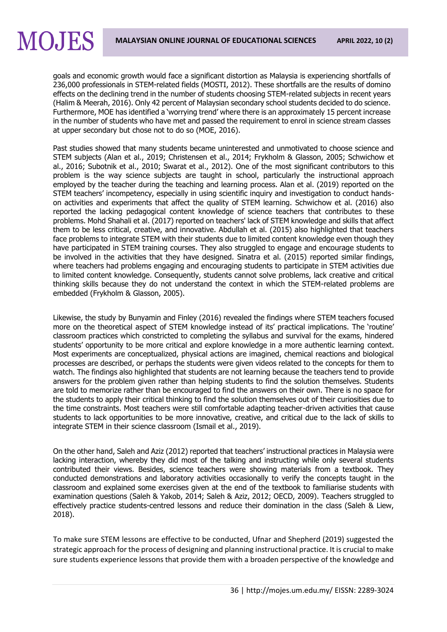goals and economic growth would face a significant distortion as Malaysia is experiencing shortfalls of 236,000 professionals in STEM-related fields (MOSTI, 2012). These shortfalls are the results of domino effects on the declining trend in the number of students choosing STEM-related subjects in recent years (Halim & Meerah, 2016). Only 42 percent of Malaysian secondary school students decided to do science. Furthermore, MOE has identified a 'worrying trend' where there is an approximately 15 percent increase in the number of students who have met and passed the requirement to enrol in science stream classes at upper secondary but chose not to do so (MOE, 2016).

**MOJES** 

Past studies showed that many students became uninterested and unmotivated to choose science and STEM subjects (Alan et al., 2019; Christensen et al., 2014; Frykholm & Glasson, 2005; Schwichow et al., 2016; Subotnik et al., 2010; Swarat et al., 2012). One of the most significant contributors to this problem is the way science subjects are taught in school, particularly the instructional approach employed by the teacher during the teaching and learning process. Alan et al. (2019) reported on the STEM teachers' incompetency, especially in using scientific inquiry and investigation to conduct handson activities and experiments that affect the quality of STEM learning. Schwichow et al. (2016) also reported the lacking pedagogical content knowledge of science teachers that contributes to these problems. Mohd Shahali et al. (2017) reported on teachers' lack of STEM knowledge and skills that affect them to be less critical, creative, and innovative. Abdullah et al. (2015) also highlighted that teachers face problems to integrate STEM with their students due to limited content knowledge even though they have participated in STEM training courses. They also struggled to engage and encourage students to be involved in the activities that they have designed. Sinatra et al. (2015) reported similar findings, where teachers had problems engaging and encouraging students to participate in STEM activities due to limited content knowledge. Consequently, students cannot solve problems, lack creative and critical thinking skills because they do not understand the context in which the STEM-related problems are embedded (Frykholm & Glasson, 2005).

Likewise, the study by Bunyamin and Finley (2016) revealed the findings where STEM teachers focused more on the theoretical aspect of STEM knowledge instead of its' practical implications. The 'routine' classroom practices which constricted to completing the syllabus and survival for the exams, hindered students' opportunity to be more critical and explore knowledge in a more authentic learning context. Most experiments are conceptualized, physical actions are imagined, chemical reactions and biological processes are described, or perhaps the students were given videos related to the concepts for them to watch. The findings also highlighted that students are not learning because the teachers tend to provide answers for the problem given rather than helping students to find the solution themselves. Students are told to memorize rather than be encouraged to find the answers on their own. There is no space for the students to apply their critical thinking to find the solution themselves out of their curiosities due to the time constraints. Most teachers were still comfortable adapting teacher-driven activities that cause students to lack opportunities to be more innovative, creative, and critical due to the lack of skills to integrate STEM in their science classroom (Ismail et al., 2019).

On the other hand, Saleh and Aziz (2012) reported that teachers' instructional practices in Malaysia were lacking interaction, whereby they did most of the talking and instructing while only several students contributed their views. Besides, science teachers were showing materials from a textbook. They conducted demonstrations and laboratory activities occasionally to verify the concepts taught in the classroom and explained some exercises given at the end of the textbook to familiarise students with examination questions (Saleh & Yakob, 2014; Saleh & Aziz, 2012; OECD, 2009). Teachers struggled to effectively practice students-centred lessons and reduce their domination in the class (Saleh & Liew, 2018).

To make sure STEM lessons are effective to be conducted, Ufnar and Shepherd (2019) suggested the strategic approach for the process of designing and planning instructional practice. It is crucial to make sure students experience lessons that provide them with a broaden perspective of the knowledge and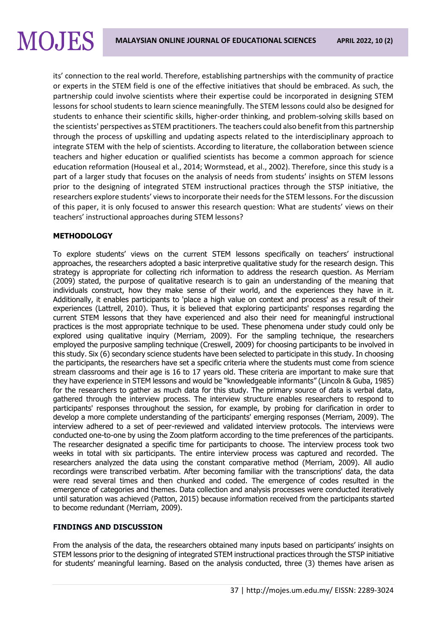# **MOJES**

its' connection to the real world. Therefore, establishing partnerships with the community of practice or experts in the STEM field is one of the effective initiatives that should be embraced. As such, the partnership could involve scientists where their expertise could be incorporated in designing STEM lessons for school students to learn science meaningfully. The STEM lessons could also be designed for students to enhance their scientific skills, higher-order thinking, and problem-solving skills based on the scientists' perspectives as STEM practitioners. The teachers could also benefit from this partnership through the process of upskilling and updating aspects related to the interdisciplinary approach to integrate STEM with the help of scientists. According to literature, the collaboration between science teachers and higher education or qualified scientists has become a common approach for science education reformation (Houseal et al., 2014; Wormstead, et al., 2002). Therefore, since this study is a part of a larger study that focuses on the analysis of needs from students' insights on STEM lessons prior to the designing of integrated STEM instructional practices through the STSP initiative, the researchers explore students' views to incorporate their needs for the STEM lessons. For the discussion of this paper, it is only focused to answer this research question: What are students' views on their teachers' instructional approaches during STEM lessons?

## **METHODOLOGY**

To explore students' views on the current STEM lessons specifically on teachers' instructional approaches, the researchers adopted a basic interpretive qualitative study for the research design. This strategy is appropriate for collecting rich information to address the research question. As Merriam (2009) stated, the purpose of qualitative research is to gain an understanding of the meaning that individuals construct, how they make sense of their world, and the experiences they have in it. Additionally, it enables participants to 'place a high value on context and process' as a result of their experiences (Lattrell, 2010). Thus, it is believed that exploring participants' responses regarding the current STEM lessons that they have experienced and also their need for meaningful instructional practices is the most appropriate technique to be used. These phenomena under study could only be explored using qualitative inquiry (Merriam, 2009). For the sampling technique, the researchers employed the purposive sampling technique (Creswell, 2009) for choosing participants to be involved in this study. Six (6) secondary science students have been selected to participate in this study. In choosing the participants, the researchers have set a specific criteria where the students must come from science stream classrooms and their age is 16 to 17 years old. These criteria are important to make sure that they have experience in STEM lessons and would be "knowledgeable informants" (Lincoln & Guba, 1985) for the researchers to gather as much data for this study. The primary source of data is verbal data, gathered through the interview process. The interview structure enables researchers to respond to participants' responses throughout the session, for example, by probing for clarification in order to develop a more complete understanding of the participants' emerging responses (Merriam, 2009). The interview adhered to a set of peer-reviewed and validated interview protocols. The interviews were conducted one-to-one by using the Zoom platform according to the time preferences of the participants. The researcher designated a specific time for participants to choose. The interview process took two weeks in total with six participants. The entire interview process was captured and recorded. The researchers analyzed the data using the constant comparative method (Merriam, 2009). All audio recordings were transcribed verbatim. After becoming familiar with the transcriptions' data, the data were read several times and then chunked and coded. The emergence of codes resulted in the emergence of categories and themes. Data collection and analysis processes were conducted iteratively until saturation was achieved (Patton, 2015) because information received from the participants started to become redundant (Merriam, 2009).

## **FINDINGS AND DISCUSSION**

From the analysis of the data, the researchers obtained many inputs based on participants' insights on STEM lessons prior to the designing of integrated STEM instructional practices through the STSP initiative for students' meaningful learning. Based on the analysis conducted, three (3) themes have arisen as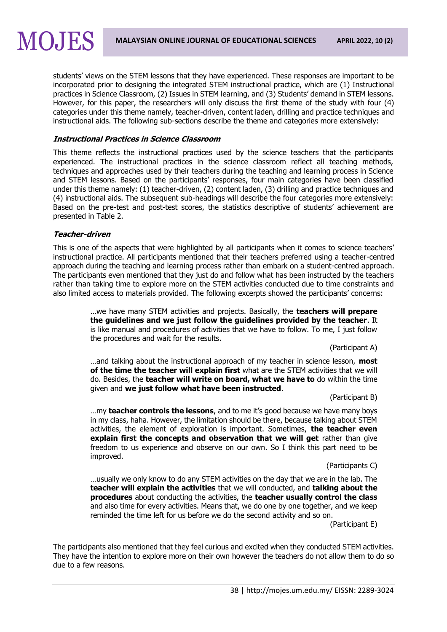students' views on the STEM lessons that they have experienced. These responses are important to be incorporated prior to designing the integrated STEM instructional practice, which are (1) Instructional practices in Science Classroom, (2) Issues in STEM learning, and (3) Students' demand in STEM lessons. However, for this paper, the researchers will only discuss the first theme of the study with four (4) categories under this theme namely, teacher-driven, content laden, drilling and practice techniques and instructional aids. The following sub-sections describe the theme and categories more extensively:

#### **Instructional Practices in Science Classroom**

This theme reflects the instructional practices used by the science teachers that the participants experienced. The instructional practices in the science classroom reflect all teaching methods, techniques and approaches used by their teachers during the teaching and learning process in Science and STEM lessons. Based on the participants' responses, four main categories have been classified under this theme namely: (1) teacher-driven, (2) content laden, (3) drilling and practice techniques and (4) instructional aids. The subsequent sub-headings will describe the four categories more extensively: Based on the pre-test and post-test scores, the statistics descriptive of students' achievement are presented in Table 2.

#### **Teacher-driven**

**MOJES** 

This is one of the aspects that were highlighted by all participants when it comes to science teachers' instructional practice. All participants mentioned that their teachers preferred using a teacher-centred approach during the teaching and learning process rather than embark on a student-centred approach. The participants even mentioned that they just do and follow what has been instructed by the teachers rather than taking time to explore more on the STEM activities conducted due to time constraints and also limited access to materials provided. The following excerpts showed the participants' concerns:

> …we have many STEM activities and projects. Basically, the **teachers will prepare the guidelines and we just follow the guidelines provided by the teacher**. It is like manual and procedures of activities that we have to follow. To me, I just follow the procedures and wait for the results.

> > (Participant A)

…and talking about the instructional approach of my teacher in science lesson, **most of the time the teacher will explain first** what are the STEM activities that we will do. Besides, the **teacher will write on board, what we have to** do within the time given and **we just follow what have been instructed**.

(Participant B)

…my **teacher controls the lessons**, and to me it's good because we have many boys in my class, haha. However, the limitation should be there, because talking about STEM activities, the element of exploration is important. Sometimes, **the teacher even explain first the concepts and observation that we will get** rather than give freedom to us experience and observe on our own. So I think this part need to be improved.

(Participants C)

…usually we only know to do any STEM activities on the day that we are in the lab. The **teacher will explain the activities** that we will conducted, and **talking about the procedures** about conducting the activities, the **teacher usually control the class** and also time for every activities. Means that, we do one by one together, and we keep reminded the time left for us before we do the second activity and so on.

(Participant E)

The participants also mentioned that they feel curious and excited when they conducted STEM activities. They have the intention to explore more on their own however the teachers do not allow them to do so due to a few reasons.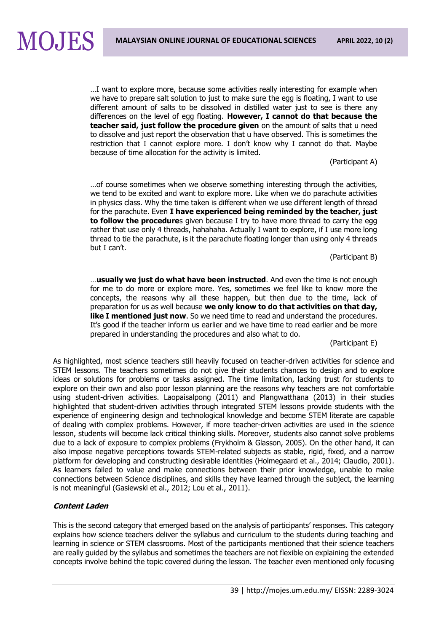…I want to explore more, because some activities really interesting for example when we have to prepare salt solution to just to make sure the egg is floating, I want to use different amount of salts to be dissolved in distilled water just to see is there any differences on the level of egg floating. **However, I cannot do that because the teacher said, just follow the procedure given** on the amount of salts that u need to dissolve and just report the observation that u have observed. This is sometimes the restriction that I cannot explore more. I don't know why I cannot do that. Maybe because of time allocation for the activity is limited.

(Participant A)

…of course sometimes when we observe something interesting through the activities, we tend to be excited and want to explore more. Like when we do parachute activities in physics class. Why the time taken is different when we use different length of thread for the parachute. Even **I have experienced being reminded by the teacher, just to follow the procedure**s given because I try to have more thread to carry the egg rather that use only 4 threads, hahahaha. Actually I want to explore, if I use more long thread to tie the parachute, is it the parachute floating longer than using only 4 threads but I can't.

(Participant B)

…**usually we just do what have been instructed**. And even the time is not enough for me to do more or explore more. Yes, sometimes we feel like to know more the concepts, the reasons why all these happen, but then due to the time, lack of preparation for us as well because **we only know to do that activities on that day, like I mentioned just now**. So we need time to read and understand the procedures. It's good if the teacher inform us earlier and we have time to read earlier and be more prepared in understanding the procedures and also what to do.

(Participant E)

As highlighted, most science teachers still heavily focused on teacher-driven activities for science and STEM lessons. The teachers sometimes do not give their students chances to design and to explore ideas or solutions for problems or tasks assigned. The time limitation, lacking trust for students to explore on their own and also poor lesson planning are the reasons why teachers are not comfortable using student-driven activities. Laopaisalpong (2011) and Plangwatthana (2013) in their studies highlighted that student-driven activities through integrated STEM lessons provide students with the experience of engineering design and technological knowledge and become STEM literate are capable of dealing with complex problems. However, if more teacher-driven activities are used in the science lesson, students will become lack critical thinking skills. Moreover, students also cannot solve problems due to a lack of exposure to complex problems (Frykholm & Glasson, 2005). On the other hand, it can also impose negative perceptions towards STEM-related subjects as stable, rigid, fixed, and a narrow platform for developing and constructing desirable identities (Holmegaard et al., 2014; Claudio, 2001). As learners failed to value and make connections between their prior knowledge, unable to make connections between Science disciplines, and skills they have learned through the subject, the learning is not meaningful (Gasiewski et al., 2012; Lou et al., 2011).

## **Content Laden**

**MOJES** 

This is the second category that emerged based on the analysis of participants' responses. This category explains how science teachers deliver the syllabus and curriculum to the students during teaching and learning in science or STEM classrooms. Most of the participants mentioned that their science teachers are really guided by the syllabus and sometimes the teachers are not flexible on explaining the extended concepts involve behind the topic covered during the lesson. The teacher even mentioned only focusing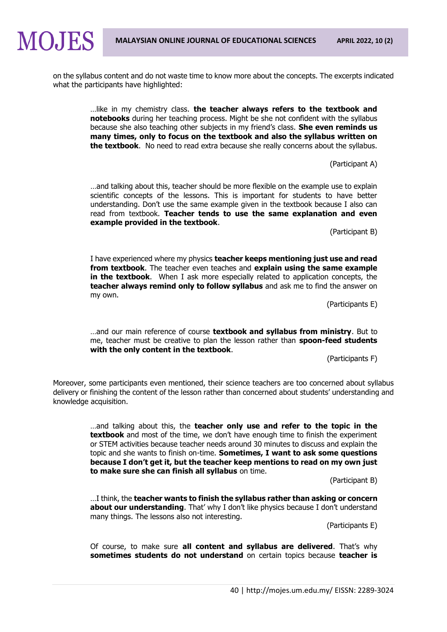

on the syllabus content and do not waste time to know more about the concepts. The excerpts indicated what the participants have highlighted:

> …like in my chemistry class. **the teacher always refers to the textbook and notebooks** during her teaching process. Might be she not confident with the syllabus because she also teaching other subjects in my friend's class. **She even reminds us many times, only to focus on the textbook and also the syllabus written on the textbook**. No need to read extra because she really concerns about the syllabus.

> > (Participant A)

…and talking about this, teacher should be more flexible on the example use to explain scientific concepts of the lessons. This is important for students to have better understanding. Don't use the same example given in the textbook because I also can read from textbook. **Teacher tends to use the same explanation and even example provided in the textbook**.

(Participant B)

I have experienced where my physics **teacher keeps mentioning just use and read from textbook**. The teacher even teaches and **explain using the same example in the textbook**. When I ask more especially related to application concepts, the **teacher always remind only to follow syllabus** and ask me to find the answer on my own.

(Participants E)

…and our main reference of course **textbook and syllabus from ministry**. But to me, teacher must be creative to plan the lesson rather than **spoon-feed students with the only content in the textbook**.

(Participants F)

Moreover, some participants even mentioned, their science teachers are too concerned about syllabus delivery or finishing the content of the lesson rather than concerned about students' understanding and knowledge acquisition.

> …and talking about this, the **teacher only use and refer to the topic in the textbook** and most of the time, we don't have enough time to finish the experiment or STEM activities because teacher needs around 30 minutes to discuss and explain the topic and she wants to finish on-time. **Sometimes, I want to ask some questions because I don't get it, but the teacher keep mentions to read on my own just to make sure she can finish all syllabus** on time.

> > (Participant B)

…I think, the **teacher wants to finish the syllabus rather than asking or concern about our understanding**. That' why I don't like physics because I don't understand many things. The lessons also not interesting.

(Participants E)

Of course, to make sure **all content and syllabus are delivered**. That's why **sometimes students do not understand** on certain topics because **teacher is**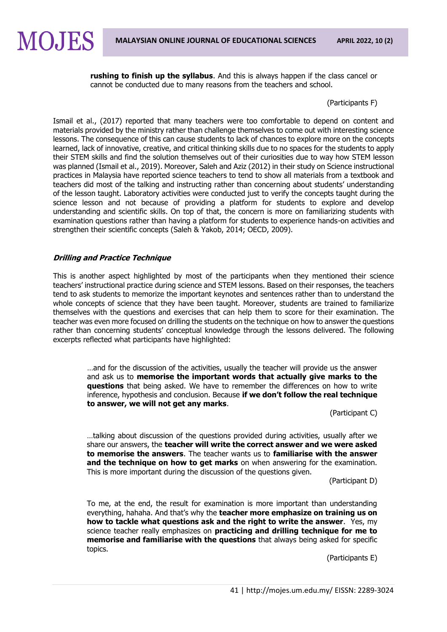**rushing to finish up the syllabus**. And this is always happen if the class cancel or cannot be conducted due to many reasons from the teachers and school.

(Participants F)

Ismail et al., (2017) reported that many teachers were too comfortable to depend on content and materials provided by the ministry rather than challenge themselves to come out with interesting science lessons. The consequence of this can cause students to lack of chances to explore more on the concepts learned, lack of innovative, creative, and critical thinking skills due to no spaces for the students to apply their STEM skills and find the solution themselves out of their curiosities due to way how STEM lesson was planned (Ismail et al., 2019). Moreover, Saleh and Aziz (2012) in their study on Science instructional practices in Malaysia have reported science teachers to tend to show all materials from a textbook and teachers did most of the talking and instructing rather than concerning about students' understanding of the lesson taught. Laboratory activities were conducted just to verify the concepts taught during the science lesson and not because of providing a platform for students to explore and develop understanding and scientific skills. On top of that, the concern is more on familiarizing students with examination questions rather than having a platform for students to experience hands-on activities and strengthen their scientific concepts (Saleh & Yakob, 2014; OECD, 2009).

## **Drilling and Practice Technique**

**MOJES** 

This is another aspect highlighted by most of the participants when they mentioned their science teachers' instructional practice during science and STEM lessons. Based on their responses, the teachers tend to ask students to memorize the important keynotes and sentences rather than to understand the whole concepts of science that they have been taught. Moreover, students are trained to familiarize themselves with the questions and exercises that can help them to score for their examination. The teacher was even more focused on drilling the students on the technique on how to answer the questions rather than concerning students' conceptual knowledge through the lessons delivered. The following excerpts reflected what participants have highlighted:

…and for the discussion of the activities, usually the teacher will provide us the answer and ask us to **memorise the important words that actually give marks to the questions** that being asked. We have to remember the differences on how to write inference, hypothesis and conclusion. Because **if we don't follow the real technique to answer, we will not get any marks**.

(Participant C)

…talking about discussion of the questions provided during activities, usually after we share our answers, the **teacher will write the correct answer and we were asked to memorise the answers**. The teacher wants us to **familiarise with the answer and the technique on how to get marks** on when answering for the examination. This is more important during the discussion of the questions given.

(Participant D)

To me, at the end, the result for examination is more important than understanding everything, hahaha. And that's why the **teacher more emphasize on training us on how to tackle what questions ask and the right to write the answer**. Yes, my science teacher really emphasizes on **practicing and drilling technique for me to memorise and familiarise with the questions** that always being asked for specific topics.

(Participants E)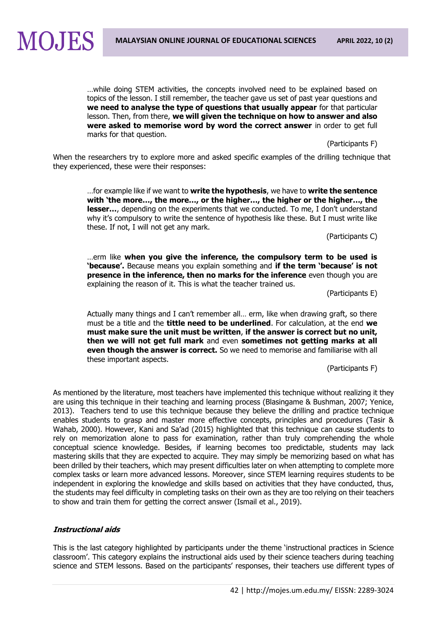

…while doing STEM activities, the concepts involved need to be explained based on topics of the lesson. I still remember, the teacher gave us set of past year questions and **we need to analyse the type of questions that usually appear** for that particular lesson. Then, from there, **we will given the technique on how to answer and also were asked to memorise word by word the correct answer** in order to get full marks for that question.

(Participants F)

When the researchers try to explore more and asked specific examples of the drilling technique that they experienced, these were their responses:

…for example like if we want to **write the hypothesis**, we have to **write the sentence with 'the more…, the more…, or the higher…, the higher or the higher…, the lesser…**, depending on the experiments that we conducted. To me, I don't understand why it's compulsory to write the sentence of hypothesis like these. But I must write like these. If not, I will not get any mark.

(Participants C)

…erm like **when you give the inference, the compulsory term to be used is 'because'.** Because means you explain something and **if the term 'because' is not presence in the inference, then no marks for the inference** even though you are explaining the reason of it. This is what the teacher trained us.

(Participants E)

Actually many things and I can't remember all… erm, like when drawing graft, so there must be a title and the **tittle need to be underlined**. For calculation, at the end **we must make sure the unit must be written**, **if the answer is correct but no unit, then we will not get full mark** and even **sometimes not getting marks at all even though the answer is correct.** So we need to memorise and familiarise with all these important aspects.

(Participants F)

As mentioned by the literature, most teachers have implemented this technique without realizing it they are using this technique in their teaching and learning process (Blasingame & Bushman, 2007; Yenice, 2013). Teachers tend to use this technique because they believe the drilling and practice technique enables students to grasp and master more effective concepts, principles and procedures (Tasir & Wahab, 2000). However, Kani and Sa'ad (2015) highlighted that this technique can cause students to rely on memorization alone to pass for examination, rather than truly comprehending the whole conceptual science knowledge. Besides, if learning becomes too predictable, students may lack mastering skills that they are expected to acquire. They may simply be memorizing based on what has been drilled by their teachers, which may present difficulties later on when attempting to complete more complex tasks or learn more advanced lessons. Moreover, since STEM learning requires students to be independent in exploring the knowledge and skills based on activities that they have conducted, thus, the students may feel difficulty in completing tasks on their own as they are too relying on their teachers to show and train them for getting the correct answer (Ismail et al., 2019).

#### **Instructional aids**

This is the last category highlighted by participants under the theme 'instructional practices in Science classroom'. This category explains the instructional aids used by their science teachers during teaching science and STEM lessons. Based on the participants' responses, their teachers use different types of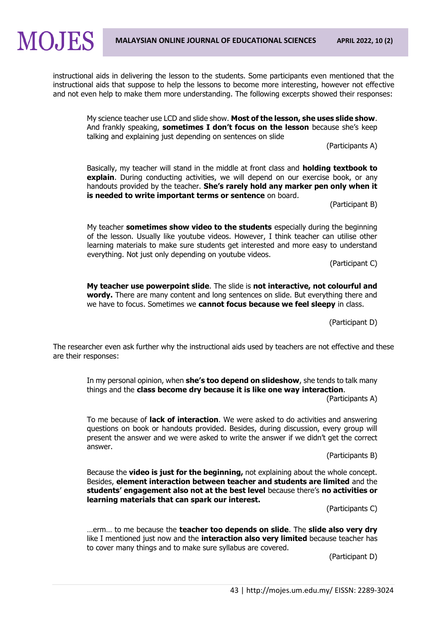instructional aids in delivering the lesson to the students. Some participants even mentioned that the instructional aids that suppose to help the lessons to become more interesting, however not effective and not even help to make them more understanding. The following excerpts showed their responses:

My science teacher use LCD and slide show. **Most of the lesson, she uses slide show**. And frankly speaking, **sometimes I don't focus on the lesson** because she's keep talking and explaining just depending on sentences on slide

(Participants A)

Basically, my teacher will stand in the middle at front class and **holding textbook to explain**. During conducting activities, we will depend on our exercise book, or any handouts provided by the teacher. **She's rarely hold any marker pen only when it is needed to write important terms or sentence** on board.

(Participant B)

My teacher **sometimes show video to the students** especially during the beginning of the lesson. Usually like youtube videos. However, I think teacher can utilise other learning materials to make sure students get interested and more easy to understand everything. Not just only depending on youtube videos.

(Participant C)

**My teacher use powerpoint slide**. The slide is **not interactive, not colourful and wordy.** There are many content and long sentences on slide. But everything there and we have to focus. Sometimes we **cannot focus because we feel sleepy** in class.

(Participant D)

The researcher even ask further why the instructional aids used by teachers are not effective and these are their responses:

In my personal opinion, when **she's too depend on slideshow**, she tends to talk many things and the **class become dry because it is like one way interaction**.

(Participants A)

To me because of **lack of interaction**. We were asked to do activities and answering questions on book or handouts provided. Besides, during discussion, every group will present the answer and we were asked to write the answer if we didn't get the correct answer.

(Participants B)

Because the **video is just for the beginning,** not explaining about the whole concept. Besides, **element interaction between teacher and students are limited** and the **students' engagement also not at the best level** because there's **no activities or learning materials that can spark our interest.**

(Participants C)

…erm… to me because the **teacher too depends on slide**. The **slide also very dry** like I mentioned just now and the **interaction also very limited** because teacher has to cover many things and to make sure syllabus are covered.

(Participant D)

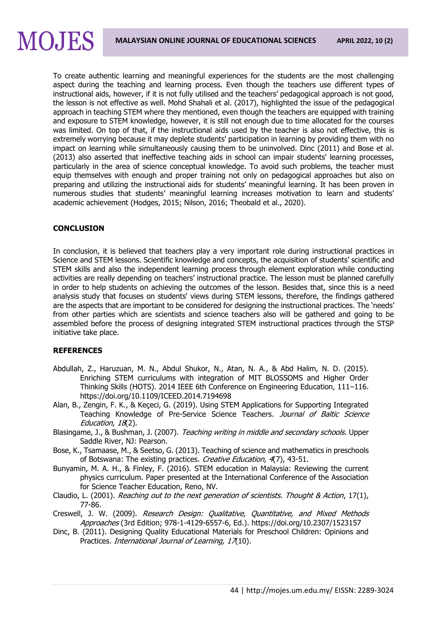## MOJES

To create authentic learning and meaningful experiences for the students are the most challenging aspect during the teaching and learning process. Even though the teachers use different types of instructional aids, however, if it is not fully utilised and the teachers' pedagogical approach is not good, the lesson is not effective as well. Mohd Shahali et al. (2017), highlighted the issue of the pedagogical approach in teaching STEM where they mentioned, even though the teachers are equipped with training and exposure to STEM knowledge, however, it is still not enough due to time allocated for the courses was limited. On top of that, if the instructional aids used by the teacher is also not effective, this is extremely worrying because it may deplete students' participation in learning by providing them with no impact on learning while simultaneously causing them to be uninvolved. Dinc (2011) and Bose et al. (2013) also asserted that ineffective teaching aids in school can impair students' learning processes, particularly in the area of science conceptual knowledge. To avoid such problems, the teacher must equip themselves with enough and proper training not only on pedagogical approaches but also on preparing and utilizing the instructional aids for students' meaningful learning. It has been proven in numerous studies that students' meaningful learning increases motivation to learn and students' academic achievement (Hodges, 2015; Nilson, 2016; Theobald et al., 2020).

## **CONCLUSION**

In conclusion, it is believed that teachers play a very important role during instructional practices in Science and STEM lessons. Scientific knowledge and concepts, the acquisition of students' scientific and STEM skills and also the independent learning process through element exploration while conducting activities are really depending on teachers' instructional practice. The lesson must be planned carefully in order to help students on achieving the outcomes of the lesson. Besides that, since this is a need analysis study that focuses on students' views during STEM lessons, therefore, the findings gathered are the aspects that are important to be considered for designing the instructional practices. The 'needs' from other parties which are scientists and science teachers also will be gathered and going to be assembled before the process of designing integrated STEM instructional practices through the STSP initiative take place.

#### **REFERENCES**

- Abdullah, Z., Haruzuan, M. N., Abdul Shukor, N., Atan, N. A., & Abd Halim, N. D. (2015). Enriching STEM curriculums with integration of MIT BLOSSOMS and Higher Order Thinking Skills (HOTS). 2014 IEEE 6th Conference on Engineering Education, 111–116. <https://doi.org/10.1109/ICEED.2014.7194698>
- Alan, B., Zengin, F. K., & Keçeci, G. (2019). Using STEM Applications for Supporting Integrated Teaching Knowledge of Pre-Service Science Teachers. Journal of Baltic Science Education, 18(2).
- Blasingame, J., & Bushman, J. (2007). Teaching writing in middle and secondary schools. Upper Saddle River, NJ: Pearson.
- Bose, K., Tsamaase, M., & Seetso, G. (2013). Teaching of science and mathematics in preschools of Botswana: The existing practices. Creative Education, 4(7), 43-51.
- Bunyamin, M. A. H., & Finley, F. (2016). STEM education in Malaysia: Reviewing the current physics curriculum. Paper presented at the International Conference of the Association for Science Teacher Education, Reno, NV.
- Claudio, L. (2001). Reaching out to the next generation of scientists. Thought & Action, 17(1), 77-86.
- Creswell, J. W. (2009). Research Design: Qualitative, Quantitative, and Mixed Methods Approaches (3rd Edition; 978-1-4129-6557-6, Ed.).<https://doi.org/10.2307/1523157>
- Dinc, B. (2011). Designing Quality Educational Materials for Preschool Children: Opinions and Practices. International Journal of Learning, 17(10).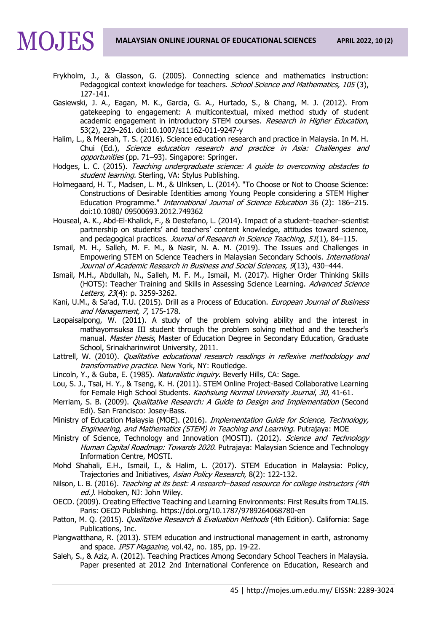

- Frykholm, J., & Glasson, G. (2005). Connecting science and mathematics instruction: Pedagogical context knowledge for teachers. School Science and Mathematics, 105(3), 127-141.
- Gasiewski, J. A., Eagan, M. K., Garcia, G. A., Hurtado, S., & Chang, M. J. (2012). From gatekeeping to engagement: A multicontextual, mixed method study of student academic engagement in introductory STEM courses. Research in Higher Education, 53(2), 229–261. doi:10.1007/s11162-011-9247-y
- Halim, L., & Meerah, T. S. (2016). Science education research and practice in Malaysia. In M. H. Chui (Ed.), Science education research and practice in Asia: Challenges and opportunities (pp. 71–93). Singapore: Springer.
- Hodges, L. C. (2015). Teaching undergraduate science: A quide to overcoming obstacles to student learning. Sterling, VA: Stylus Publishing.
- Holmegaard, H. T., Madsen, L. M., & Ulriksen, L. (2014). "To Choose or Not to Choose Science: Constructions of Desirable Identities among Young People considering a STEM Higher Education Programme." International Journal of Science Education 36 (2): 186-215. doi:10.1080/ 09500693.2012.749362
- Houseal, A. K., Abd-El-Khalick, F., & Destefano, L. (2014). Impact of a student–teacher–scientist partnership on students' and teachers' content knowledge, attitudes toward science, and pedagogical practices. Journal of Research in Science Teaching, 51(1), 84-115.
- Ismail, M. H., Salleh, M. F. M., & Nasir, N. A. M. (2019). The Issues and Challenges in Empowering STEM on Science Teachers in Malaysian Secondary Schools. International Journal of Academic Research in Business and Social Sciences, 9(13), 430-444.
- Ismail, M.H., Abdullah, N., Salleh, M. F. M., Ismail, M. (2017). Higher Order Thinking Skills (HOTS): Teacher Training and Skills in Assessing Science Learning. Advanced Science Letters, 23(4): p. 3259-3262.
- Kani, U.M., & Sa'ad, T.U. (2015). Drill as a Process of Education. European Journal of Business and Management, 7, 175-178.
- Laopaisalpong, W. (2011). A study of the problem solving ability and the interest in mathayomsuksa III student through the problem solving method and the teacher's manual. Master thesis, Master of Education Degree in Secondary Education, Graduate School, Srinakharinwirot University, 2011.
- Lattrell, W. (2010). Qualitative educational research readings in reflexive methodology and transformative practice. New York, NY: Routledge.
- Lincoln, Y., & Guba, E. (1985). Naturalistic inquiry. Beverly Hills, CA: Sage.
- Lou, S. J., Tsai, H. Y., & Tseng, K. H. (2011). STEM Online Project-Based Collaborative Learning for Female High School Students. Kaohsiung Normal University Journal, 30, 41-61.
- Merriam, S. B. (2009). *Qualitative Research: A Guide to Design and Implementation* (Second Edi). San Francisco: Josey-Bass.
- Ministry of Education Malaysia (MOE). (2016). Implementation Guide for Science, Technology, Engineering, and Mathematics (STEM) in Teaching and Learning. Putrajaya: MOE
- Ministry of Science, Technology and Innovation (MOSTI). (2012). Science and Technology Human Capital Roadmap: Towards 2020. Putrajaya: Malaysian Science and Technology Information Centre, MOSTI.
- Mohd Shahali, E.H., Ismail, I., & Halim, L. (2017). STEM Education in Malaysia: Policy, Trajectories and Initiatives, Asian Policy Research, 8(2): 122-132.
- Nilson, L. B. (2016). Teaching at its best: A research-based resource for college instructors (4th ed.). Hoboken, NJ: John Wiley.
- OECD. (2009). Creating Effective Teaching and Learning Environments: First Results from TALIS. Paris: OECD Publishing.<https://doi.org/10.1787/9789264068780-en>
- Patton, M. Q. (2015). Qualitative Research & Evaluation Methods (4th Edition). California: Sage Publications, Inc.
- Plangwatthana, R. (2013). STEM education and instructional management in earth, astronomy and space. *IPST Magazine*, vol.42, no. 185, pp. 19-22.
- Saleh, S., & Aziz, A. (2012). Teaching Practices Among Secondary School Teachers in Malaysia. Paper presented at 2012 2nd International Conference on Education, Research and